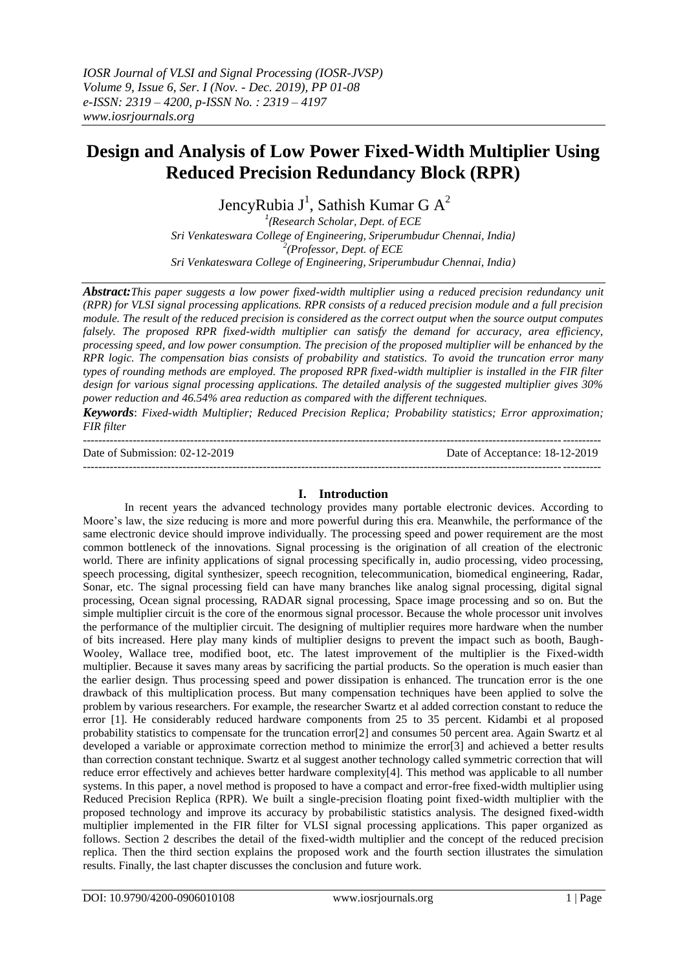# **Design and Analysis of Low Power Fixed-Width Multiplier Using Reduced Precision Redundancy Block (RPR)**

JencyRubia J<sup>1</sup>, Sathish Kumar G  $A^2$ 

*1 (Research Scholar, Dept. of ECE Sri Venkateswara College of Engineering, Sriperumbudur Chennai, India) 2 (Professor, Dept. of ECE Sri Venkateswara College of Engineering, Sriperumbudur Chennai, India)*

*Abstract:This paper suggests a low power fixed-width multiplier using a reduced precision redundancy unit (RPR) for VLSI signal processing applications. RPR consists of a reduced precision module and a full precision module. The result of the reduced precision is considered as the correct output when the source output computes*  falsely. The proposed RPR fixed-width multiplier can satisfy the demand for accuracy, area efficiency, *processing speed, and low power consumption. The precision of the proposed multiplier will be enhanced by the RPR logic. The compensation bias consists of probability and statistics. To avoid the truncation error many types of rounding methods are employed. The proposed RPR fixed-width multiplier is installed in the FIR filter design for various signal processing applications. The detailed analysis of the suggested multiplier gives 30% power reduction and 46.54% area reduction as compared with the different techniques.*

*Keywords*: *Fixed-width Multiplier; Reduced Precision Replica; Probability statistics; Error approximation; FIR filter*

--------------------------------------------------------------------------------------------------------------------------------------- Date of Submission: 02-12-2019 Date of Acceptance: 18-12-2019 ---------------------------------------------------------------------------------------------------------------------------------------

# **I. Introduction**

In recent years the advanced technology provides many portable electronic devices. According to Moore's law, the size reducing is more and more powerful during this era. Meanwhile, the performance of the same electronic device should improve individually. The processing speed and power requirement are the most common bottleneck of the innovations. Signal processing is the origination of all creation of the electronic world. There are infinity applications of signal processing specifically in, audio processing, video processing, speech processing, digital synthesizer, speech recognition, telecommunication, biomedical engineering, Radar, Sonar, etc. The signal processing field can have many branches like analog signal processing, digital signal processing, Ocean signal processing, RADAR signal processing, Space image processing and so on. But the simple multiplier circuit is the core of the enormous signal processor. Because the whole processor unit involves the performance of the multiplier circuit. The designing of multiplier requires more hardware when the number of bits increased. Here play many kinds of multiplier designs to prevent the impact such as booth, Baugh-Wooley, Wallace tree, modified boot, etc. The latest improvement of the multiplier is the Fixed-width multiplier. Because it saves many areas by sacrificing the partial products. So the operation is much easier than the earlier design. Thus processing speed and power dissipation is enhanced. The truncation error is the one drawback of this multiplication process. But many compensation techniques have been applied to solve the problem by various researchers. For example, the researcher Swartz et al added correction constant to reduce the error [1]. He considerably reduced hardware components from 25 to 35 percent. Kidambi et al proposed probability statistics to compensate for the truncation error[2] and consumes 50 percent area. Again Swartz et al developed a variable or approximate correction method to minimize the error[3] and achieved a better results than correction constant technique. Swartz et al suggest another technology called symmetric correction that will reduce error effectively and achieves better hardware complexity[4]. This method was applicable to all number systems. In this paper, a novel method is proposed to have a compact and error-free fixed-width multiplier using Reduced Precision Replica (RPR). We built a single-precision floating point fixed-width multiplier with the proposed technology and improve its accuracy by probabilistic statistics analysis. The designed fixed-width multiplier implemented in the FIR filter for VLSI signal processing applications. This paper organized as follows. Section 2 describes the detail of the fixed-width multiplier and the concept of the reduced precision replica. Then the third section explains the proposed work and the fourth section illustrates the simulation results. Finally, the last chapter discusses the conclusion and future work.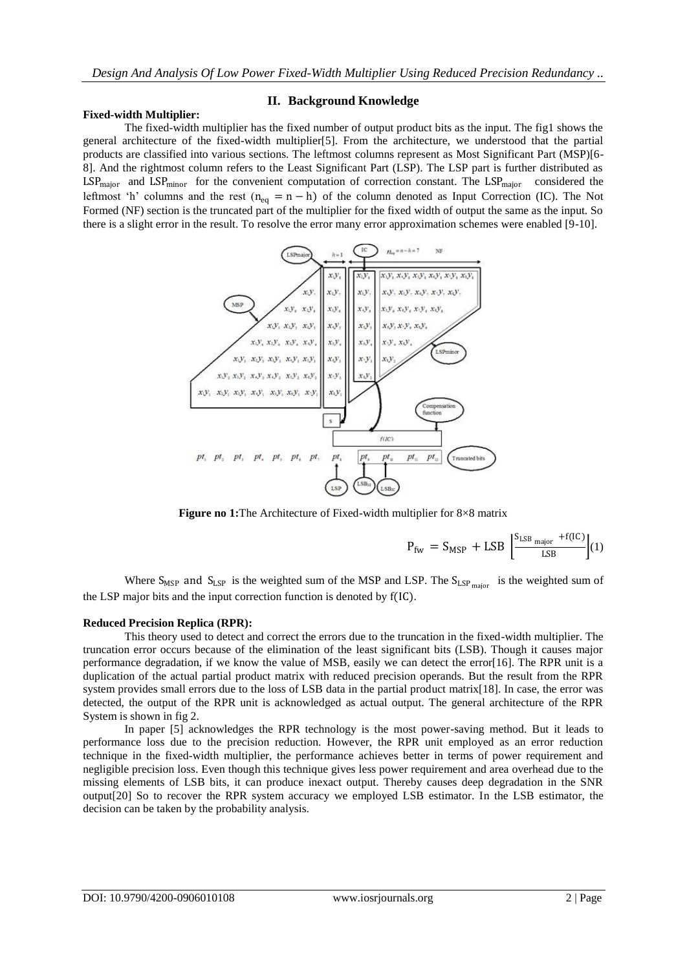### **Fixed-width Multiplier:**

### **II. Background Knowledge**

The fixed-width multiplier has the fixed number of output product bits as the input. The fig1 shows the general architecture of the fixed-width multiplier[5]. From the architecture, we understood that the partial products are classified into various sections. The leftmost columns represent as Most Significant Part (MSP)[6- 8]. And the rightmost column refers to the Least Significant Part (LSP). The LSP part is further distributed as LSP<sub>major</sub> and LSP<sub>minor</sub> for the convenient computation of correction constant. The LSP<sub>major</sub> considered the leftmost 'h' columns and the rest (n<sub>eq</sub> = n - h) of the column denoted as Input Correction (IC). The Not Formed (NF) section is the truncated part of the multiplier for the fixed width of output the same as the input. So there is a slight error in the result. To resolve the error many error approximation schemes were enabled [9-10].



**Figure no 1:**The Architecture of Fixed-width multiplier for 8×8 matrix

$$
P_{\text{fw}} = S_{\text{MSP}} + \text{LSB} \left[ \frac{S_{\text{LSB major}} + f(\text{IC})}{\text{LSB}} \right] (1)
$$

Where  $S_{MSP}$  and  $S_{LSP}$  is the weighted sum of the MSP and LSP. The  $S_{LSP}$  major is the weighted sum of the LSP major bits and the input correction function is denoted by f(IC).

# **Reduced Precision Replica (RPR):**

This theory used to detect and correct the errors due to the truncation in the fixed-width multiplier. The truncation error occurs because of the elimination of the least significant bits (LSB). Though it causes major performance degradation, if we know the value of MSB, easily we can detect the error[16]. The RPR unit is a duplication of the actual partial product matrix with reduced precision operands. But the result from the RPR system provides small errors due to the loss of LSB data in the partial product matrix[18]. In case, the error was detected, the output of the RPR unit is acknowledged as actual output. The general architecture of the RPR System is shown in fig 2.

In paper [5] acknowledges the RPR technology is the most power-saving method. But it leads to performance loss due to the precision reduction. However, the RPR unit employed as an error reduction technique in the fixed-width multiplier, the performance achieves better in terms of power requirement and negligible precision loss. Even though this technique gives less power requirement and area overhead due to the missing elements of LSB bits, it can produce inexact output. Thereby causes deep degradation in the SNR output[20] So to recover the RPR system accuracy we employed LSB estimator. In the LSB estimator, the decision can be taken by the probability analysis.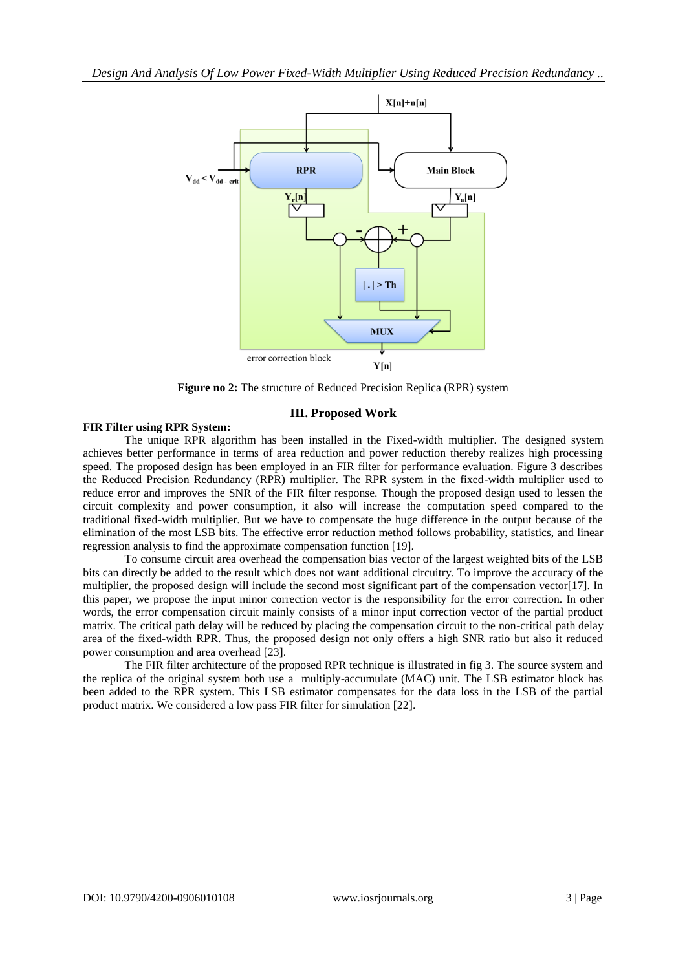

**Figure no 2:** The structure of Reduced Precision Replica (RPR) system

# **III. Proposed Work**

## **FIR Filter using RPR System:**

The unique RPR algorithm has been installed in the Fixed-width multiplier. The designed system achieves better performance in terms of area reduction and power reduction thereby realizes high processing speed. The proposed design has been employed in an FIR filter for performance evaluation. Figure 3 describes the Reduced Precision Redundancy (RPR) multiplier. The RPR system in the fixed-width multiplier used to reduce error and improves the SNR of the FIR filter response. Though the proposed design used to lessen the circuit complexity and power consumption, it also will increase the computation speed compared to the traditional fixed-width multiplier. But we have to compensate the huge difference in the output because of the elimination of the most LSB bits. The effective error reduction method follows probability, statistics, and linear regression analysis to find the approximate compensation function [19].

To consume circuit area overhead the compensation bias vector of the largest weighted bits of the LSB bits can directly be added to the result which does not want additional circuitry. To improve the accuracy of the multiplier, the proposed design will include the second most significant part of the compensation vector[17]. In this paper, we propose the input minor correction vector is the responsibility for the error correction. In other words, the error compensation circuit mainly consists of a minor input correction vector of the partial product matrix. The critical path delay will be reduced by placing the compensation circuit to the non-critical path delay area of the fixed-width RPR. Thus, the proposed design not only offers a high SNR ratio but also it reduced power consumption and area overhead [23].

The FIR filter architecture of the proposed RPR technique is illustrated in fig 3. The source system and the replica of the original system both use a multiply-accumulate (MAC) unit. The LSB estimator block has been added to the RPR system. This LSB estimator compensates for the data loss in the LSB of the partial product matrix. We considered a low pass FIR filter for simulation [22].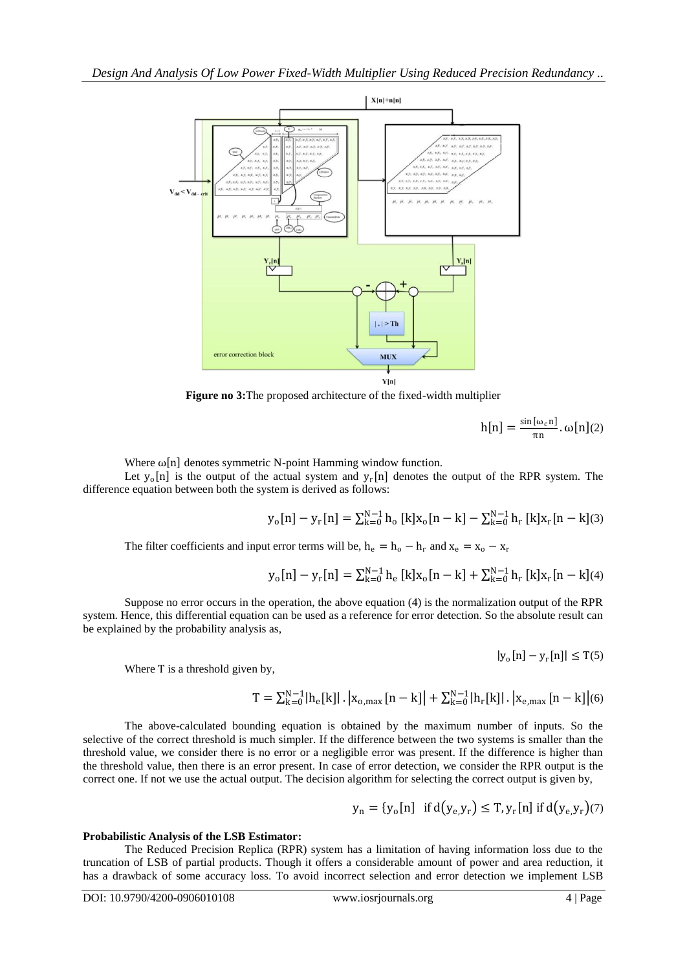

**Figure no 3:**The proposed architecture of the fixed-width multiplier

$$
h[n] = \frac{\sin[\omega_c n]}{\pi n} \cdot \omega[n](2)
$$

Where  $\omega[n]$  denotes symmetric N-point Hamming window function.

Let  $y_0[n]$  is the output of the actual system and  $y_r[n]$  denotes the output of the RPR system. The difference equation between both the system is derived as follows:

$$
y_o[n] - y_r[n] = \sum_{k=0}^{N-1} h_o \left[ k ] x_o[n-k] - \sum_{k=0}^{N-1} h_r \left[ k ] x_r[n-k] (3)
$$

The filter coefficients and input error terms will be,  $h_e = h_o - h_r$  and  $x_e = x_o - x_r$ 

$$
y_o[n] - y_r[n] = \sum_{k=0}^{N-1} h_e [k] x_o[n-k] + \sum_{k=0}^{N-1} h_r [k] x_r[n-k](4)
$$

Suppose no error occurs in the operation, the above equation (4) is the normalization output of the RPR system. Hence, this differential equation can be used as a reference for error detection. So the absolute result can be explained by the probability analysis as,

$$
|y_{o}[n]-y_{r}[n]| \leq T(5)
$$

Where T is a threshold given by,

$$
T = \textstyle \sum_{k=0}^{N-1} \lvert h_e[k] \rvert \,.\, \bigl| x_{o,\text{max}}\left[n-k\right] \bigr| + \sum_{k=0}^{N-1} \lvert h_r[k] \rvert \,.\, \bigl| x_{e,\text{max}}\left[n-k\right] \bigr| (6)
$$

The above-calculated bounding equation is obtained by the maximum number of inputs. So the selective of the correct threshold is much simpler. If the difference between the two systems is smaller than the threshold value, we consider there is no error or a negligible error was present. If the difference is higher than the threshold value, then there is an error present. In case of error detection, we consider the RPR output is the correct one. If not we use the actual output. The decision algorithm for selecting the correct output is given by,

$$
y_n = {y_o[n] \text{ if } d(y_e, y_r) \le T, y_r[n] \text{ if } d(y_e, y_r)
$$
 (7)

# **Probabilistic Analysis of the LSB Estimator:**

The Reduced Precision Replica (RPR) system has a limitation of having information loss due to the truncation of LSB of partial products. Though it offers a considerable amount of power and area reduction, it has a drawback of some accuracy loss. To avoid incorrect selection and error detection we implement LSB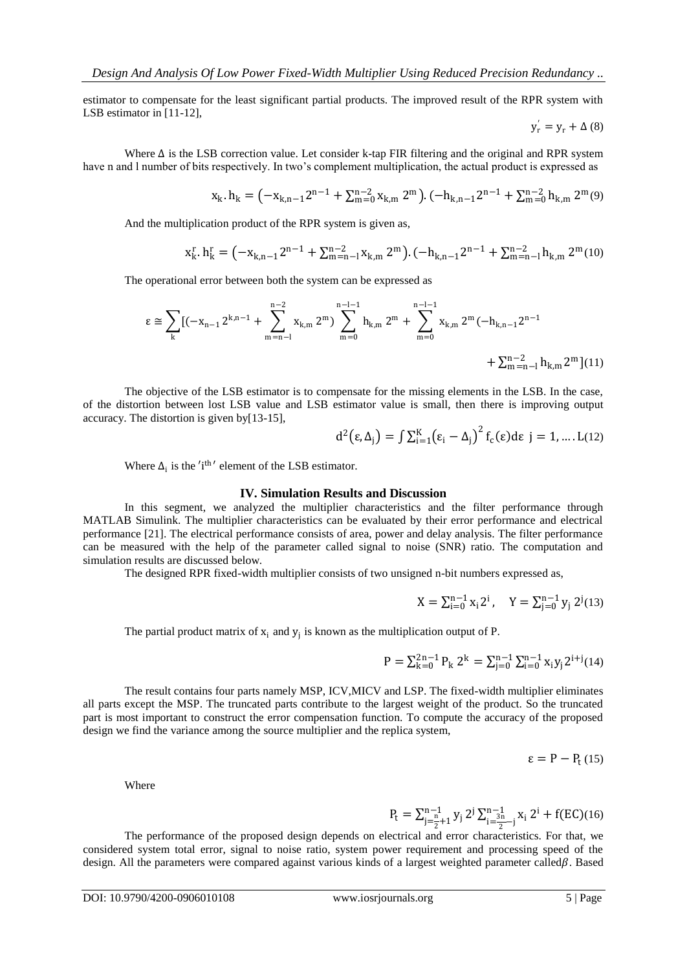estimator to compensate for the least significant partial products. The improved result of the RPR system with LSB estimator in [11-12],

$$
y'_{r} = y_{r} + \Delta (8)
$$

Where ∆ is the LSB correction value. Let consider k-tap FIR filtering and the original and RPR system have n and l number of bits respectively. In two's complement multiplication, the actual product is expressed as

$$
x_k. h_k = \left(-x_{k,n-1}2^{n-1} + \sum_{m=0}^{n-2} x_{k,m} 2^m\right). (-h_{k,n-1}2^{n-1} + \sum_{m=0}^{n-2} h_{k,m} 2^m)^9
$$

And the multiplication product of the RPR system is given as,

$$
x_k^r \cdot h_k^r = \left(-x_{k,n-1}2^{n-1} + \sum_{m=n-l}^{n-2} x_{k,m} 2^m\right) \cdot \left(-h_{k,n-1}2^{n-1} + \sum_{m=n-l}^{n-2} h_{k,m} 2^m(10)\right)
$$

The operational error between both the system can be expressed as

$$
\epsilon \cong \sum_{k} [(-x_{n-1} 2^{k,n-1} + \sum_{m=n-l}^{n-2} x_{k,m} 2^m) \sum_{m=0}^{n-l-1} h_{k,m} 2^m + \sum_{m=0}^{n-l-1} x_{k,m} 2^m (-h_{k,n-1} 2^{n-1} + \sum_{m=n-l}^{n-2} h_{k,m} 2^m](11)
$$

The objective of the LSB estimator is to compensate for the missing elements in the LSB. In the case, of the distortion between lost LSB value and LSB estimator value is small, then there is improving output accuracy. The distortion is given by[13-15],

$$
d^{2}(\varepsilon,\Delta_{j})=\int \sum_{i=1}^{K}(\varepsilon_{i}-\Delta_{j})^{2}f_{c}(\varepsilon)d\varepsilon j=1,... L(12)
$$

Where  $\Delta_i$  is the 'i<sup>th</sup>' element of the LSB estimator.

#### **IV. Simulation Results and Discussion**

In this segment, we analyzed the multiplier characteristics and the filter performance through MATLAB Simulink. The multiplier characteristics can be evaluated by their error performance and electrical performance [21]. The electrical performance consists of area, power and delay analysis. The filter performance can be measured with the help of the parameter called signal to noise (SNR) ratio. The computation and simulation results are discussed below.

The designed RPR fixed-width multiplier consists of two unsigned n-bit numbers expressed as,

$$
X=\textstyle\sum_{i=0}^{n-1}x_i2^i\,,\quad Y=\textstyle\sum_{j=0}^{n-1}y_j\ 2^j(13)
$$

The partial product matrix of  $x_i$  and  $y_j$  is known as the multiplication output of P.

$$
P = \textstyle \sum_{k=0}^{2n-1} P_k \, 2^k = \sum_{j=0}^{n-1} \sum_{i=0}^{n-1} x_i y_j 2^{i+j}(14)
$$

The result contains four parts namely MSP, ICV,MICV and LSP. The fixed-width multiplier eliminates all parts except the MSP. The truncated parts contribute to the largest weight of the product. So the truncated part is most important to construct the error compensation function. To compute the accuracy of the proposed design we find the variance among the source multiplier and the replica system,

$$
\varepsilon = P - P_{t} (15)
$$

Where

$$
P_t = \sum_{j=\frac{n}{2}+1}^{n-1} y_j \, 2^j \, \sum_{i=\frac{3n}{2}-j}^{n-1} x_i \, 2^i + f(EC)(16)
$$

The performance of the proposed design depends on electrical and error characteristics. For that, we considered system total error, signal to noise ratio, system power requirement and processing speed of the design. All the parameters were compared against various kinds of a largest weighted parameter called $\beta$ . Based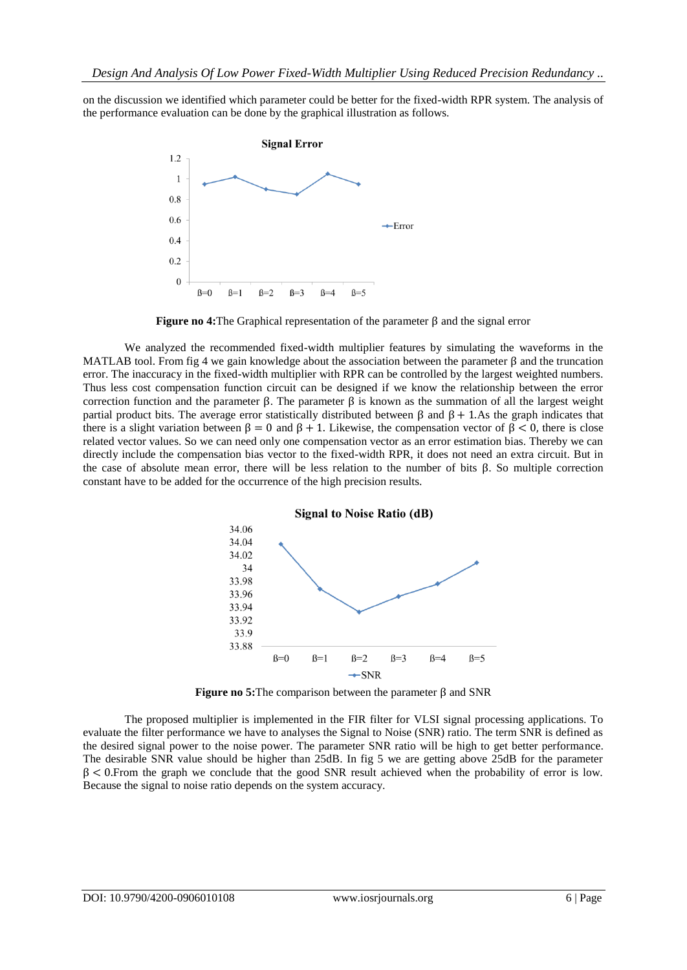on the discussion we identified which parameter could be better for the fixed-width RPR system. The analysis of the performance evaluation can be done by the graphical illustration as follows.



**Figure no 4:**The Graphical representation of the parameter β and the signal error

We analyzed the recommended fixed-width multiplier features by simulating the waveforms in the MATLAB tool. From fig 4 we gain knowledge about the association between the parameter β and the truncation error. The inaccuracy in the fixed-width multiplier with RPR can be controlled by the largest weighted numbers. Thus less cost compensation function circuit can be designed if we know the relationship between the error correction function and the parameter β. The parameter β is known as the summation of all the largest weight partial product bits. The average error statistically distributed between β and β+ 1.As the graph indicates that there is a slight variation between  $\beta = 0$  and  $\beta + 1$ . Likewise, the compensation vector of  $\beta < 0$ , there is close related vector values. So we can need only one compensation vector as an error estimation bias. Thereby we can directly include the compensation bias vector to the fixed-width RPR, it does not need an extra circuit. But in the case of absolute mean error, there will be less relation to the number of bits  $\beta$ . So multiple correction constant have to be added for the occurrence of the high precision results.



**Figure no 5:**The comparison between the parameter β and SNR

The proposed multiplier is implemented in the FIR filter for VLSI signal processing applications. To evaluate the filter performance we have to analyses the Signal to Noise (SNR) ratio. The term SNR is defined as the desired signal power to the noise power. The parameter SNR ratio will be high to get better performance. The desirable SNR value should be higher than 25dB. In fig 5 we are getting above 25dB for the parameter  $\beta$  < 0. From the graph we conclude that the good SNR result achieved when the probability of error is low. Because the signal to noise ratio depends on the system accuracy.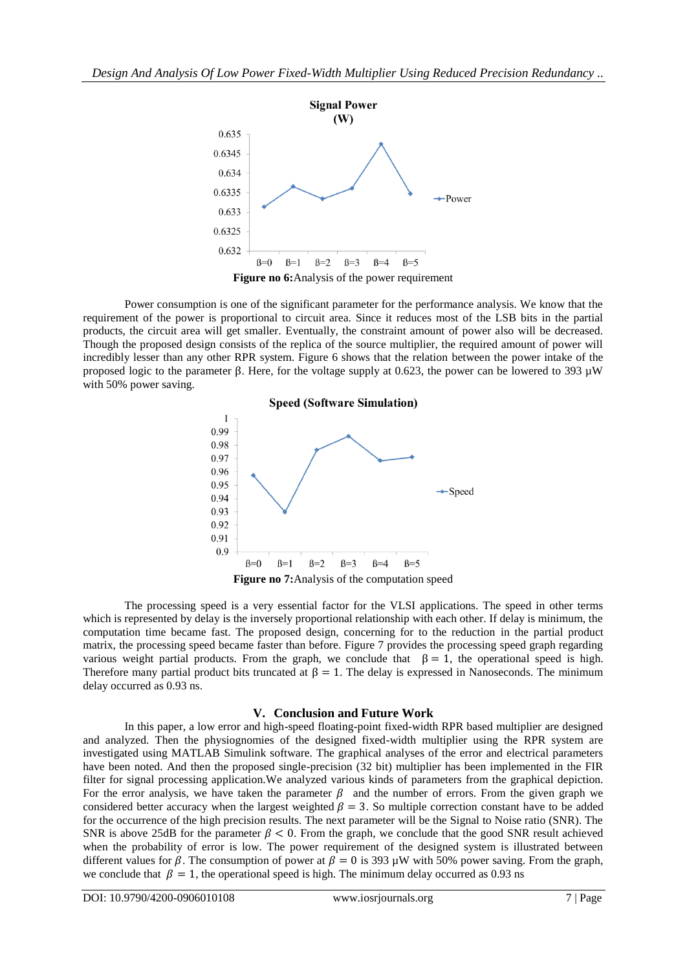

Power consumption is one of the significant parameter for the performance analysis. We know that the requirement of the power is proportional to circuit area. Since it reduces most of the LSB bits in the partial products, the circuit area will get smaller. Eventually, the constraint amount of power also will be decreased. Though the proposed design consists of the replica of the source multiplier, the required amount of power will incredibly lesser than any other RPR system. Figure 6 shows that the relation between the power intake of the proposed logic to the parameter β. Here, for the voltage supply at 0.623, the power can be lowered to 393 µW with 50% power saving.



**Figure no 7:**Analysis of the computation speed

The processing speed is a very essential factor for the VLSI applications. The speed in other terms which is represented by delay is the inversely proportional relationship with each other. If delay is minimum, the computation time became fast. The proposed design, concerning for to the reduction in the partial product matrix, the processing speed became faster than before. Figure 7 provides the processing speed graph regarding various weight partial products. From the graph, we conclude that  $\beta = 1$ , the operational speed is high. Therefore many partial product bits truncated at  $\beta = 1$ . The delay is expressed in Nanoseconds. The minimum delay occurred as 0.93 ns.

#### **V. Conclusion and Future Work**

In this paper, a low error and high-speed floating-point fixed-width RPR based multiplier are designed and analyzed. Then the physiognomies of the designed fixed-width multiplier using the RPR system are investigated using MATLAB Simulink software. The graphical analyses of the error and electrical parameters have been noted. And then the proposed single-precision (32 bit) multiplier has been implemented in the FIR filter for signal processing application.We analyzed various kinds of parameters from the graphical depiction. For the error analysis, we have taken the parameter  $\beta$  and the number of errors. From the given graph we considered better accuracy when the largest weighted  $\beta = 3$ . So multiple correction constant have to be added for the occurrence of the high precision results. The next parameter will be the Signal to Noise ratio (SNR). The SNR is above 25dB for the parameter  $\beta$  < 0. From the graph, we conclude that the good SNR result achieved when the probability of error is low. The power requirement of the designed system is illustrated between different values for  $\beta$ . The consumption of power at  $\beta = 0$  is 393 µW with 50% power saving. From the graph, we conclude that  $\beta = 1$ , the operational speed is high. The minimum delay occurred as 0.93 ns